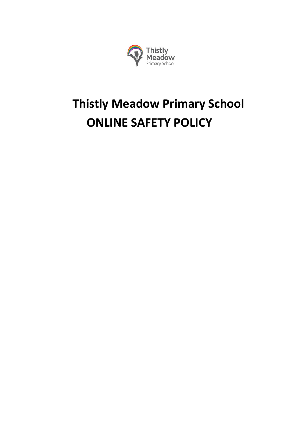

# **Thistly Meadow Primary School ONLINE SAFETY POLICY**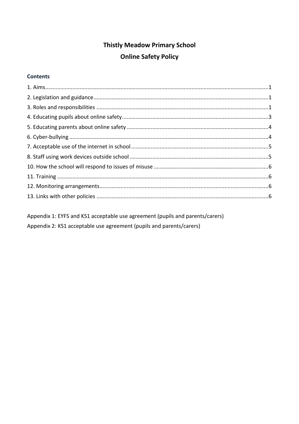## **Thistly Meadow Primary School Online Safety Policy**

#### **Contents**

Appendix 1: EYFS and KS1 acceptable use agreement (pupils and parents/carers) Appendix 2: KS1 acceptable use agreement (pupils and parents/carers)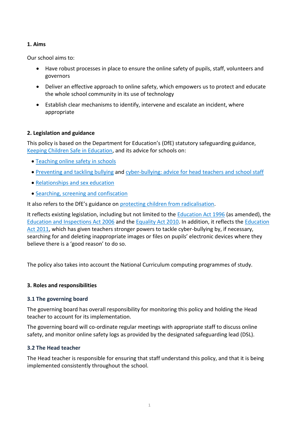#### <span id="page-3-0"></span>**1. Aims**

Our school aims to:

- Have robust processes in place to ensure the online safety of pupils, staff, volunteers and governors
- Deliver an effective approach to online safety, which empowers us to protect and educate the whole school community in its use of technology
- Establish clear mechanisms to identify, intervene and escalate an incident, where appropriate

#### <span id="page-3-1"></span>**2. Legislation and guidance**

This policy is based on the Department for Education's (DfE) statutory safeguarding guidance, [Keeping Children Safe in Education,](https://www.gov.uk/government/publications/keeping-children-safe-in-education--2) and its advice for schools on:

- [Teaching online safety in schools](https://www.gov.uk/government/publications/teaching-online-safety-in-schools)
- [Preventing and tackling bullying](https://www.gov.uk/government/publications/preventing-and-tackling-bullying) and [cyber-bullying: advice for head](https://www.gov.uk/government/publications/preventing-and-tackling-bullying) teachers and school staff
- [Relationships and sex education](https://www.gov.uk/government/publications/relationships-education-relationships-and-sex-education-rse-and-health-education)
- [Searching, screening and confiscation](https://www.gov.uk/government/publications/searching-screening-and-confiscation)

It also refers to the DfE's guidance on [protecting children from radicalisation.](https://www.gov.uk/government/publications/protecting-children-from-radicalisation-the-prevent-duty)

It reflects existing legislation, including but not limited to the [Education Act 1996](https://www.legislation.gov.uk/ukpga/1996/56/contents) (as amended), the [Education and Inspections Act 2006](https://www.legislation.gov.uk/ukpga/2006/40/contents) and the [Equality Act 2010.](https://www.legislation.gov.uk/ukpga/2010/15/contents) In addition, it reflects the [Education](http://www.legislation.gov.uk/ukpga/2011/21/contents/enacted)  [Act 2011,](http://www.legislation.gov.uk/ukpga/2011/21/contents/enacted) which has given teachers stronger powers to tackle cyber-bullying by, if necessary, searching for and deleting inappropriate images or files on pupils' electronic devices where they believe there is a 'good reason' to do so.

The policy also takes into account the National Curriculum computing programmes of study.

#### <span id="page-3-2"></span>**3. Roles and responsibilities**

#### **3.1 The governing board**

The governing board has overall responsibility for monitoring this policy and holding the Head teacher to account for its implementation.

The governing board will co-ordinate regular meetings with appropriate staff to discuss online safety, and monitor online safety logs as provided by the designated safeguarding lead (DSL).

#### **3.2 The Head teacher**

The Head teacher is responsible for ensuring that staff understand this policy, and that it is being implemented consistently throughout the school.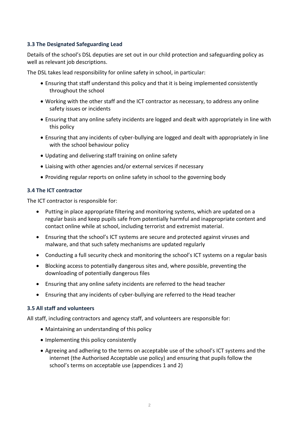#### **3.3 The Designated Safeguarding Lead**

Details of the school's DSL deputies are set out in our child protection and safeguarding policy as well as relevant job descriptions.

The DSL takes lead responsibility for online safety in school, in particular:

- Ensuring that staff understand this policy and that it is being implemented consistently throughout the school
- Working with the other staff and the ICT contractor as necessary, to address any online safety issues or incidents
- Ensuring that any online safety incidents are logged and dealt with appropriately in line with this policy
- Ensuring that any incidents of cyber-bullying are logged and dealt with appropriately in line with the school behaviour policy
- Updating and delivering staff training on online safety
- Liaising with other agencies and/or external services if necessary
- Providing regular reports on online safety in school to the governing body

#### **3.4 The ICT contractor**

The ICT contractor is responsible for:

- Putting in place appropriate filtering and monitoring systems, which are updated on a regular basis and keep pupils safe from potentially harmful and inappropriate content and contact online while at school, including terrorist and extremist material.
- Ensuring that the school's ICT systems are secure and protected against viruses and malware, and that such safety mechanisms are updated regularly
- Conducting a full security check and monitoring the school's ICT systems on a regular basis
- Blocking access to potentially dangerous sites and, where possible, preventing the downloading of potentially dangerous files
- Ensuring that any online safety incidents are referred to the head teacher
- Ensuring that any incidents of cyber-bullying are referred to the Head teacher

#### **3.5 All staff and volunteers**

All staff, including contractors and agency staff, and volunteers are responsible for:

- Maintaining an understanding of this policy
- Implementing this policy consistently
- Agreeing and adhering to the terms on acceptable use of the school's ICT systems and the internet (the Authorised Acceptable use policy) and ensuring that pupils follow the school's terms on acceptable use (appendices 1 and 2)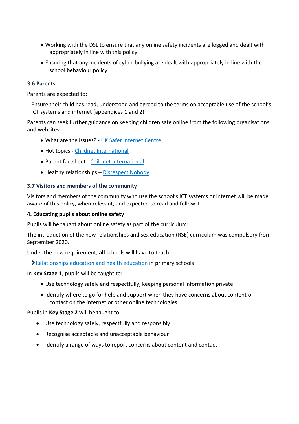- Working with the DSL to ensure that any online safety incidents are logged and dealt with appropriately in line with this policy
- Ensuring that any incidents of cyber-bullying are dealt with appropriately in line with the school behaviour policy

#### **3.6 Parents**

Parents are expected to:

Ensure their child has read, understood and agreed to the terms on acceptable use of the school's ICT systems and internet (appendices 1 and 2)

Parents can seek further guidance on keeping children safe online from the following organisations and websites:

- What are the issues? [UK Safer Internet Centre](https://www.saferinternet.org.uk/advice-centre/parents-and-carers/what-are-issues)
- Hot topics [Childnet International](http://www.childnet.com/parents-and-carers/hot-topics)
- Parent factsheet [Childnet International](https://www.childnet.com/resources/parents-and-carers-resource-sheet)
- Healthy relationships [Disrespect Nobody](https://www.disrespectnobody.co.uk/)

#### **3.7 Visitors and members of the community**

Visitors and members of the community who use the school's ICT systems or internet will be made aware of this policy, when relevant, and expected to read and follow it.

#### <span id="page-5-0"></span>**4. Educating pupils about online safety**

Pupils will be taught about online safety as part of the curriculum:

The introduction of the new relationships and sex education (RSE) curriculum was compulsory from September 2020.

Under the new requirement, **all** schools will have to teach:

[Relationships education and health education](https://schoolleaders.thekeysupport.com/uid/8b76f587-7bf6-4994-abf0-43850c6e8d73/) in primary schools

In **Key Stage 1**, pupils will be taught to:

- Use technology safely and respectfully, keeping personal information private
- Identify where to go for help and support when they have concerns about content or contact on the internet or other online technologies

Pupils in **Key Stage 2** will be taught to:

- Use technology safely, respectfully and responsibly
- Recognise acceptable and unacceptable behaviour
- Identify a range of ways to report concerns about content and contact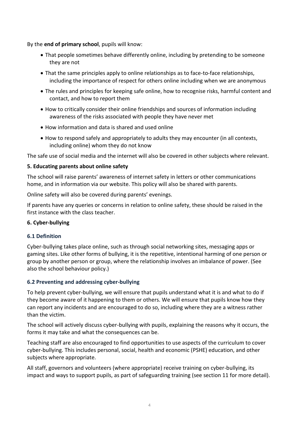By the **end of primary school**, pupils will know:

- That people sometimes behave differently online, including by pretending to be someone they are not
- That the same principles apply to online relationships as to face-to-face relationships, including the importance of respect for others online including when we are anonymous
- The rules and principles for keeping safe online, how to recognise risks, harmful content and contact, and how to report them
- How to critically consider their online friendships and sources of information including awareness of the risks associated with people they have never met
- How information and data is shared and used online
- How to respond safely and appropriately to adults they may encounter (in all contexts, including online) whom they do not know

The safe use of social media and the internet will also be covered in other subjects where relevant.

#### <span id="page-6-0"></span>**5. Educating parents about online safety**

The school will raise parents' awareness of internet safety in letters or other communications home, and in information via our website. This policy will also be shared with parents.

Online safety will also be covered during parents' evenings.

If parents have any queries or concerns in relation to online safety, these should be raised in the first instance with the class teacher.

#### <span id="page-6-1"></span>**6. Cyber-bullying**

#### **6.1 Definition**

Cyber-bullying takes place online, such as through social networking sites, messaging apps or gaming sites. Like other forms of bullying, it is the repetitive, intentional harming of one person or group by another person or group, where the relationship involves an imbalance of power. (See also the school behaviour policy.)

#### **6.2 Preventing and addressing cyber-bullying**

To help prevent cyber-bullying, we will ensure that pupils understand what it is and what to do if they become aware of it happening to them or others. We will ensure that pupils know how they can report any incidents and are encouraged to do so, including where they are a witness rather than the victim.

The school will actively discuss cyber-bullying with pupils, explaining the reasons why it occurs, the forms it may take and what the consequences can be.

Teaching staff are also encouraged to find opportunities to use aspects of the curriculum to cover cyber-bullying. This includes personal, social, health and economic (PSHE) education, and other subjects where appropriate.

All staff, governors and volunteers (where appropriate) receive training on cyber-bullying, its impact and ways to support pupils, as part of safeguarding training (see section 11 for more detail).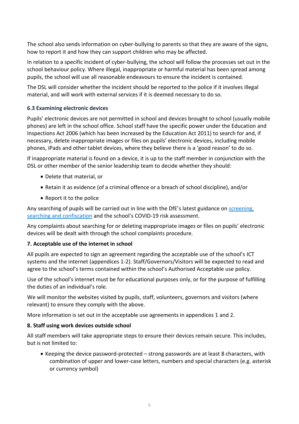The school also sends information on cyber-bullying to parents so that they are aware of the signs, how to report it and how they can support children who may be affected.

In relation to a specific incident of cyber-bullying, the school will follow the processes set out in the school behaviour policy. Where illegal, inappropriate or harmful material has been spread among pupils, the school will use all reasonable endeavours to ensure the incident is contained.

The DSL will consider whether the incident should be reported to the police if it involves illegal material, and will work with external services if it is deemed necessary to do so.

#### **6.3 Examining electronic devices**

Pupils' electronic devices are not permitted in school and devices brought to school (usually mobile phones) are left in the school office. School staff have the specific power under the Education and Inspections Act 2006 (which has been increased by the Education Act 2011) to search for and, if necessary, delete inappropriate images or files on pupils' electronic devices, including mobile phones, iPads and other tablet devices, where they believe there is a 'good reason' to do so.

If inappropriate material is found on a device, it is up to the staff member in conjunction with the DSL or other member of the senior leadership team to decide whether they should:

- Delete that material, or
- Retain it as evidence (of a criminal offence or a breach of school discipline), and/or
- Report it to the police

Any searching of pupils will be carried out in line with the DfE's latest guidance on screening, [searching and confiscation](https://www.gov.uk/government/publications/searching-screening-and-confiscation) and the school's COVID-19 risk assessment.

Any complaints about searching for or deleting inappropriate images or files on pupils' electronic devices will be dealt with through the school complaints procedure.

#### <span id="page-7-0"></span>**7. Acceptable use of the internet in school**

All pupils are expected to sign an agreement regarding the acceptable use of the school's ICT systems and the internet (appendices 1-2). Staff/Governors/Visitors will be expected to read and agree to the school's terms contained within the school's Authorised Acceptable use policy.

Use of the school's internet must be for educational purposes only, or for the purpose of fulfilling the duties of an individual's role.

We will monitor the websites visited by pupils, staff, volunteers, governors and visitors (where relevant) to ensure they comply with the above.

More information is set out in the acceptable use agreements in appendices 1 and 2.

#### <span id="page-7-1"></span>**8. Staff using work devices outside school**

All staff members will take appropriate steps to ensure their devices remain secure. This includes, but is not limited to:

• Keeping the device password-protected – strong passwords are at least 8 characters, with combination of upper and lower-case letters, numbers and special characters (e.g. asterisk or currency symbol)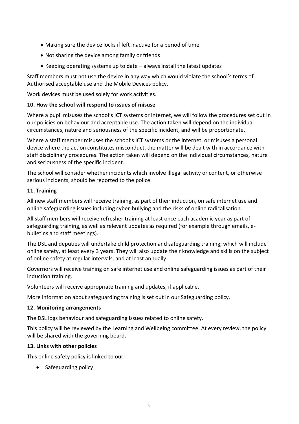- Making sure the device locks if left inactive for a period of time
- Not sharing the device among family or friends
- $\bullet$  Keeping operating systems up to date  $-$  always install the latest updates

Staff members must not use the device in any way which would violate the school's terms of Authorised acceptable use and the Mobile Devices policy.

Work devices must be used solely for work activities.

#### <span id="page-8-0"></span>**10. How the school will respond to issues of misuse**

Where a pupil misuses the school's ICT systems or internet, we will follow the procedures set out in our policies on behaviour and acceptable use. The action taken will depend on the individual circumstances, nature and seriousness of the specific incident, and will be proportionate.

Where a staff member misuses the school's ICT systems or the internet, or misuses a personal device where the action constitutes misconduct, the matter will be dealt with in accordance with staff disciplinary procedures. The action taken will depend on the individual circumstances, nature and seriousness of the specific incident.

The school will consider whether incidents which involve illegal activity or content, or otherwise serious incidents, should be reported to the police.

#### <span id="page-8-1"></span>**11. Training**

All new staff members will receive training, as part of their induction, on safe internet use and online safeguarding issues including cyber-bullying and the risks of online radicalisation.

All staff members will receive refresher training at least once each academic year as part of safeguarding training, as well as relevant updates as required (for example through emails, ebulletins and staff meetings).

The DSL and deputies will undertake child protection and safeguarding training, which will include online safety, at least every 3 years. They will also update their knowledge and skills on the subject of online safety at regular intervals, and at least annually.

Governors will receive training on safe internet use and online safeguarding issues as part of their induction training.

Volunteers will receive appropriate training and updates, if applicable.

More information about safeguarding training is set out in our Safeguarding policy.

#### <span id="page-8-2"></span>**12. Monitoring arrangements**

The DSL logs behaviour and safeguarding issues related to online safety.

This policy will be reviewed by the Learning and Wellbeing committee. At every review, the policy will be shared with the governing board.

#### <span id="page-8-3"></span>**13. Links with other policies**

This online safety policy is linked to our:

• Safeguarding policy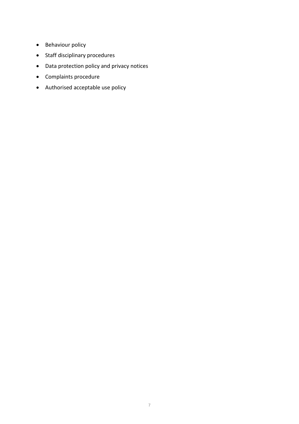- Behaviour policy
- Staff disciplinary procedures
- Data protection policy and privacy notices
- Complaints procedure
- Authorised acceptable use policy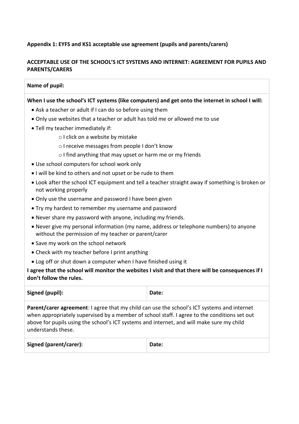#### **Appendix 1: EYFS and KS1 acceptable use agreement (pupils and parents/carers)**

#### **ACCEPTABLE USE OF THE SCHOOL'S ICT SYSTEMS AND INTERNET: AGREEMENT FOR PUPILS AND PARENTS/CARERS**

#### **Name of pupil:**

#### **When I use the school's ICT systems (like computers) and get onto the internet in school I will:**

- Ask a teacher or adult if I can do so before using them
- Only use websites that a teacher or adult has told me or allowed me to use
- Tell my teacher immediately if:
	- o I click on a website by mistake
	- o I receive messages from people I don't know
	- o I find anything that may upset or harm me or my friends
- Use school computers for school work only
- I will be kind to others and not upset or be rude to them
- Look after the school ICT equipment and tell a teacher straight away if something is broken or not working properly
- Only use the username and password I have been given
- Try my hardest to remember my username and password
- Never share my password with anyone, including my friends.
- Never give my personal information (my name, address or telephone numbers) to anyone without the permission of my teacher or parent/carer
- Save my work on the school network
- Check with my teacher before I print anything
- Log off or shut down a computer when I have finished using it

#### **I agree that the school will monitor the websites I visit and that there will be consequences if I don't follow the rules.**

| Signed (pupil):                                                                                                                                                                                                                                                                                                | Date: |
|----------------------------------------------------------------------------------------------------------------------------------------------------------------------------------------------------------------------------------------------------------------------------------------------------------------|-------|
| Parent/carer agreement: I agree that my child can use the school's ICT systems and internet<br>when appropriately supervised by a member of school staff. I agree to the conditions set out<br>above for pupils using the school's ICT systems and internet, and will make sure my child<br>understands these. |       |
| Signed (parent/carer):                                                                                                                                                                                                                                                                                         | Date: |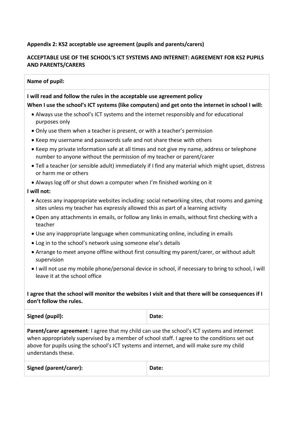#### **Appendix 2: KS2 acceptable use agreement (pupils and parents/carers)**

#### **ACCEPTABLE USE OF THE SCHOOL'S ICT SYSTEMS AND INTERNET: AGREEMENT FOR KS2 PUPILS AND PARENTS/CARERS**

#### **Name of pupil:**

#### **I will read and follow the rules in the acceptable use agreement policy**

#### **When I use the school's ICT systems (like computers) and get onto the internet in school I will:**

- Always use the school's ICT systems and the internet responsibly and for educational purposes only
- Only use them when a teacher is present, or with a teacher's permission
- Keep my username and passwords safe and not share these with others
- Keep my private information safe at all times and not give my name, address or telephone number to anyone without the permission of my teacher or parent/carer
- Tell a teacher (or sensible adult) immediately if I find any material which might upset, distress or harm me or others
- Always log off or shut down a computer when I'm finished working on it

#### **I will not:**

- Access any inappropriate websites including: social networking sites, chat rooms and gaming sites unless my teacher has expressly allowed this as part of a learning activity
- Open any attachments in emails, or follow any links in emails, without first checking with a teacher
- Use any inappropriate language when communicating online, including in emails
- Log in to the school's network using someone else's details
- Arrange to meet anyone offline without first consulting my parent/carer, or without adult supervision
- I will not use my mobile phone/personal device in school, if necessary to bring to school, I will leave it at the school office

#### **I agree that the school will monitor the websites I visit and that there will be consequences if I don't follow the rules.**

Signed (pupil):  $\qquad \qquad$  Date:

**Parent/carer agreement**: I agree that my child can use the school's ICT systems and internet when appropriately supervised by a member of school staff. I agree to the conditions set out above for pupils using the school's ICT systems and internet, and will make sure my child understands these.

| Signed (parent/carer): | Date: |
|------------------------|-------|
|                        |       |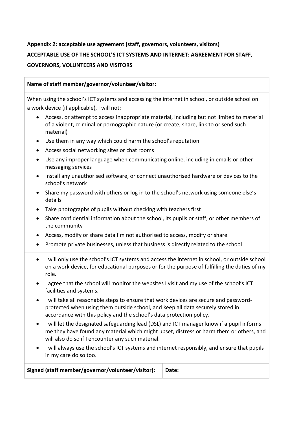### **Appendix 2: acceptable use agreement (staff, governors, volunteers, visitors) ACCEPTABLE USE OF THE SCHOOL'S ICT SYSTEMS AND INTERNET: AGREEMENT FOR STAFF, GOVERNORS, VOLUNTEERS AND VISITORS**

#### **Name of staff member/governor/volunteer/visitor:**

When using the school's ICT systems and accessing the internet in school, or outside school on a work device (if applicable), I will not:

- Access, or attempt to access inappropriate material, including but not limited to material of a violent, criminal or pornographic nature (or create, share, link to or send such material)
- Use them in any way which could harm the school's reputation
- Access social networking sites or chat rooms
- Use any improper language when communicating online, including in emails or other messaging services
- Install any unauthorised software, or connect unauthorised hardware or devices to the school's network
- Share my password with others or log in to the school's network using someone else's details
- Take photographs of pupils without checking with teachers first
- Share confidential information about the school, its pupils or staff, or other members of the community
- Access, modify or share data I'm not authorised to access, modify or share
- Promote private businesses, unless that business is directly related to the school
- I will only use the school's ICT systems and access the internet in school, or outside school on a work device, for educational purposes or for the purpose of fulfilling the duties of my role.
- I agree that the school will monitor the websites I visit and my use of the school's ICT facilities and systems.
- I will take all reasonable steps to ensure that work devices are secure and passwordprotected when using them outside school, and keep all data securely stored in accordance with this policy and the school's data protection policy.
- I will let the designated safeguarding lead (DSL) and ICT manager know if a pupil informs me they have found any material which might upset, distress or harm them or others, and will also do so if I encounter any such material.
- I will always use the school's ICT systems and internet responsibly, and ensure that pupils in my care do so too.

Signed (staff member/governor/volunteer/visitor): Date: